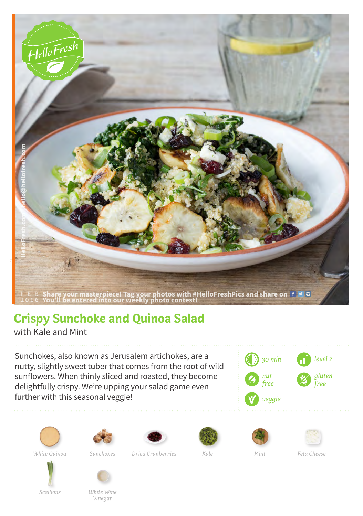

## **Crispy Sunchoke and Quinoa Salad**

with Kale and Mint

Sunchokes, also known as Jerusalem artichokes, are a nutty, slightly sweet tuber that comes from the root of wild sunflowers. When thinly sliced and roasted, they become delightfully crispy. We're upping your salad game even further with this seasonal veggie!









*Dried Cranberries Mint White Quinoa Sunchokes Kale Feta Cheese*







*Scallions*



*White Wine Vinegar*